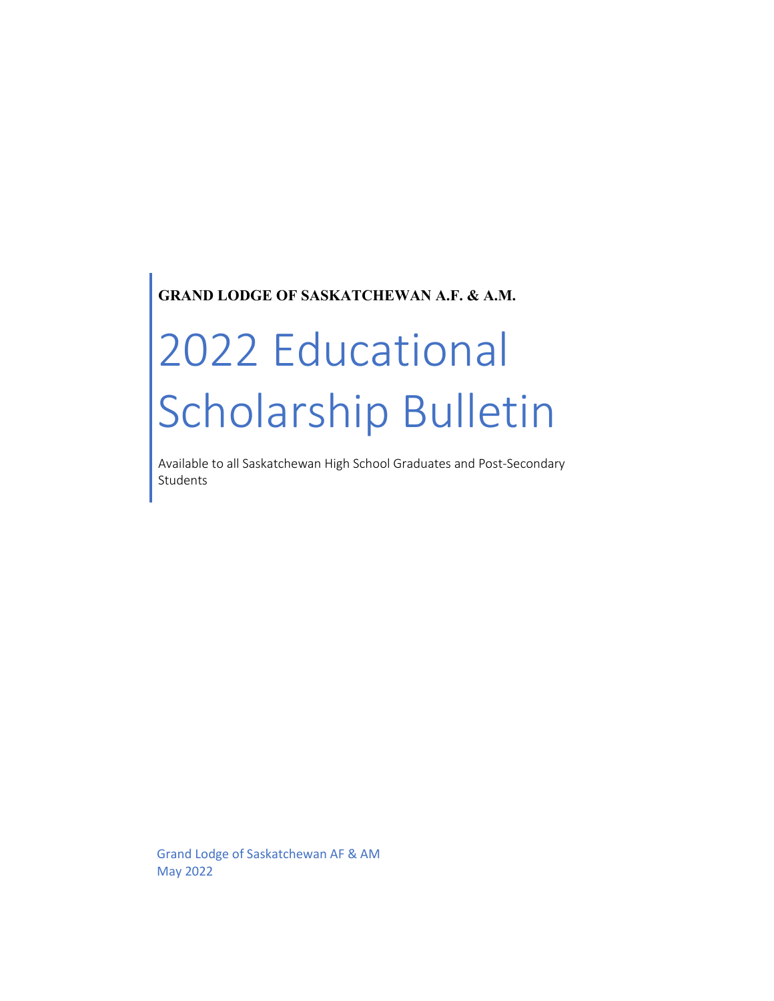# **GRAND LODGE OF SASKATCHEWAN A.F. & A.M.**

# 2022 Educational Scholarship Bulletin

Available to all Saskatchewan High School Graduates and Post-Secondary Students

Grand Lodge of Saskatchewan AF & AM May 2022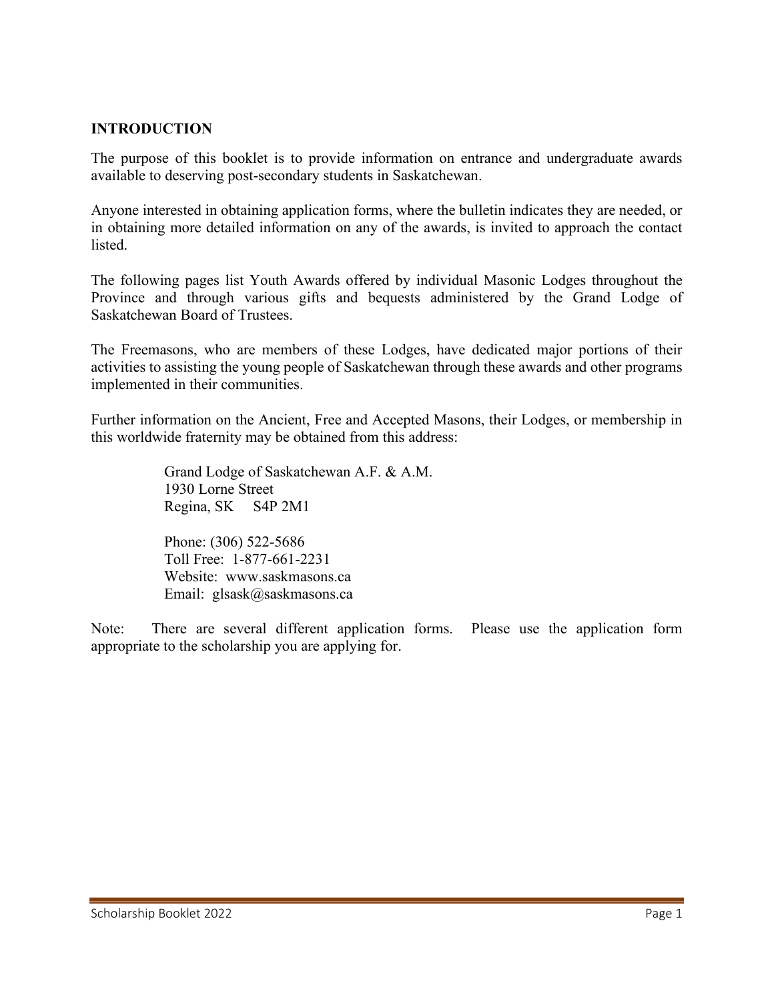#### **INTRODUCTION**

The purpose of this booklet is to provide information on entrance and undergraduate awards available to deserving post-secondary students in Saskatchewan.

Anyone interested in obtaining application forms, where the bulletin indicates they are needed, or in obtaining more detailed information on any of the awards, is invited to approach the contact listed.

The following pages list Youth Awards offered by individual Masonic Lodges throughout the Province and through various gifts and bequests administered by the Grand Lodge of Saskatchewan Board of Trustees.

The Freemasons, who are members of these Lodges, have dedicated major portions of their activities to assisting the young people of Saskatchewan through these awards and other programs implemented in their communities.

Further information on the Ancient, Free and Accepted Masons, their Lodges, or membership in this worldwide fraternity may be obtained from this address:

> Grand Lodge of Saskatchewan A.F. & A.M. 1930 Lorne Street Regina, SK S4P 2M1

Phone: (306) 522-5686 Toll Free: 1-877-661-2231 Website: www.saskmasons.ca Email: glsask@saskmasons.ca

Note: There are several different application forms. Please use the application form appropriate to the scholarship you are applying for.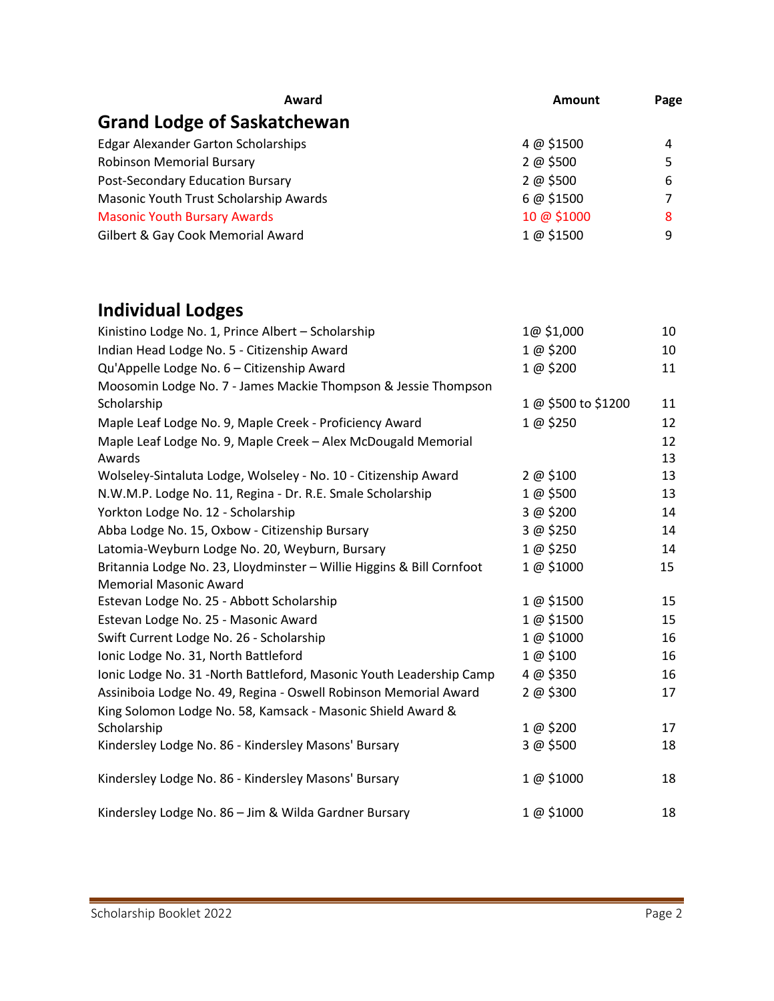| Award                                      | <b>Amount</b> | Page |
|--------------------------------------------|---------------|------|
| <b>Grand Lodge of Saskatchewan</b>         |               |      |
| <b>Edgar Alexander Garton Scholarships</b> | 4 @ \$1500    | 4    |
| <b>Robinson Memorial Bursary</b>           | 2 @ \$500     | 5    |
| Post-Secondary Education Bursary           | 2 @ \$500     | 6    |
| Masonic Youth Trust Scholarship Awards     | 6 @ \$1500    |      |
| <b>Masonic Youth Bursary Awards</b>        | 10 @ \$1000   | 8    |
| Gilbert & Gay Cook Memorial Award          | 1 @ \$1500    | 9    |

# **Individual Lodges**

| Kinistino Lodge No. 1, Prince Albert - Scholarship                    | 1@ \$1,000          | 10 |
|-----------------------------------------------------------------------|---------------------|----|
| Indian Head Lodge No. 5 - Citizenship Award                           | 1 @ \$200           | 10 |
| Qu'Appelle Lodge No. 6 - Citizenship Award                            | 1 @ \$200           | 11 |
| Moosomin Lodge No. 7 - James Mackie Thompson & Jessie Thompson        |                     |    |
| Scholarship                                                           | 1 @ \$500 to \$1200 | 11 |
| Maple Leaf Lodge No. 9, Maple Creek - Proficiency Award               | 1 @ \$250           | 12 |
| Maple Leaf Lodge No. 9, Maple Creek - Alex McDougald Memorial         |                     | 12 |
| Awards                                                                |                     | 13 |
| Wolseley-Sintaluta Lodge, Wolseley - No. 10 - Citizenship Award       | 2 @ \$100           | 13 |
| N.W.M.P. Lodge No. 11, Regina - Dr. R.E. Smale Scholarship            | 1 @ \$500           | 13 |
| Yorkton Lodge No. 12 - Scholarship                                    | 3 @ \$200           | 14 |
| Abba Lodge No. 15, Oxbow - Citizenship Bursary                        | 3 @ \$250           | 14 |
| Latomia-Weyburn Lodge No. 20, Weyburn, Bursary                        | 1 @ \$250           | 14 |
| Britannia Lodge No. 23, Lloydminster - Willie Higgins & Bill Cornfoot | 1 @ \$1000          | 15 |
| <b>Memorial Masonic Award</b>                                         |                     |    |
| Estevan Lodge No. 25 - Abbott Scholarship                             | 1 @ \$1500          | 15 |
| Estevan Lodge No. 25 - Masonic Award                                  | 1 @ \$1500          | 15 |
| Swift Current Lodge No. 26 - Scholarship                              | 1 @ \$1000          | 16 |
| Ionic Lodge No. 31, North Battleford                                  | 1@\$100             | 16 |
| Ionic Lodge No. 31 -North Battleford, Masonic Youth Leadership Camp   | 4 @ \$350           | 16 |
| Assiniboia Lodge No. 49, Regina - Oswell Robinson Memorial Award      | 2 @ \$300           | 17 |
| King Solomon Lodge No. 58, Kamsack - Masonic Shield Award &           |                     |    |
| Scholarship                                                           | 1@\$200             | 17 |
| Kindersley Lodge No. 86 - Kindersley Masons' Bursary                  | 3 @ \$500           | 18 |
| Kindersley Lodge No. 86 - Kindersley Masons' Bursary                  | 1 @ \$1000          | 18 |
| Kindersley Lodge No. 86 - Jim & Wilda Gardner Bursary                 | 1 @ \$1000          | 18 |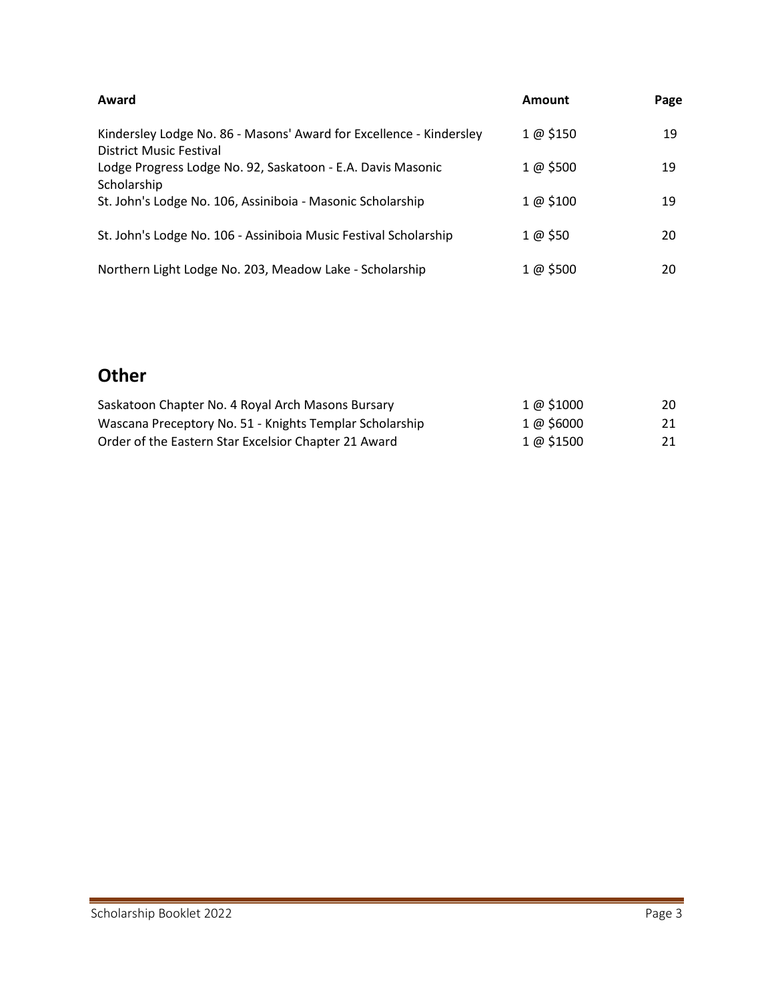| Award                                                                                                 | Amount    | Page |
|-------------------------------------------------------------------------------------------------------|-----------|------|
| Kindersley Lodge No. 86 - Masons' Award for Excellence - Kindersley<br><b>District Music Festival</b> | 1 @ \$150 | 19   |
| Lodge Progress Lodge No. 92, Saskatoon - E.A. Davis Masonic<br>Scholarship                            | 1 @ \$500 | 19   |
| St. John's Lodge No. 106, Assiniboia - Masonic Scholarship                                            | 1 @ \$100 | 19   |
| St. John's Lodge No. 106 - Assiniboia Music Festival Scholarship                                      | 1 @ \$50  | 20   |
| Northern Light Lodge No. 203, Meadow Lake - Scholarship                                               | 1 @ \$500 | 20   |

# **Other**

| Saskatoon Chapter No. 4 Royal Arch Masons Bursary       | $1 \omega$ \$1000 | 20 |
|---------------------------------------------------------|-------------------|----|
| Wascana Preceptory No. 51 - Knights Templar Scholarship | 1 @ \$6000        | 21 |
| Order of the Eastern Star Excelsior Chapter 21 Award    | $1 \omega$ \$1500 | 21 |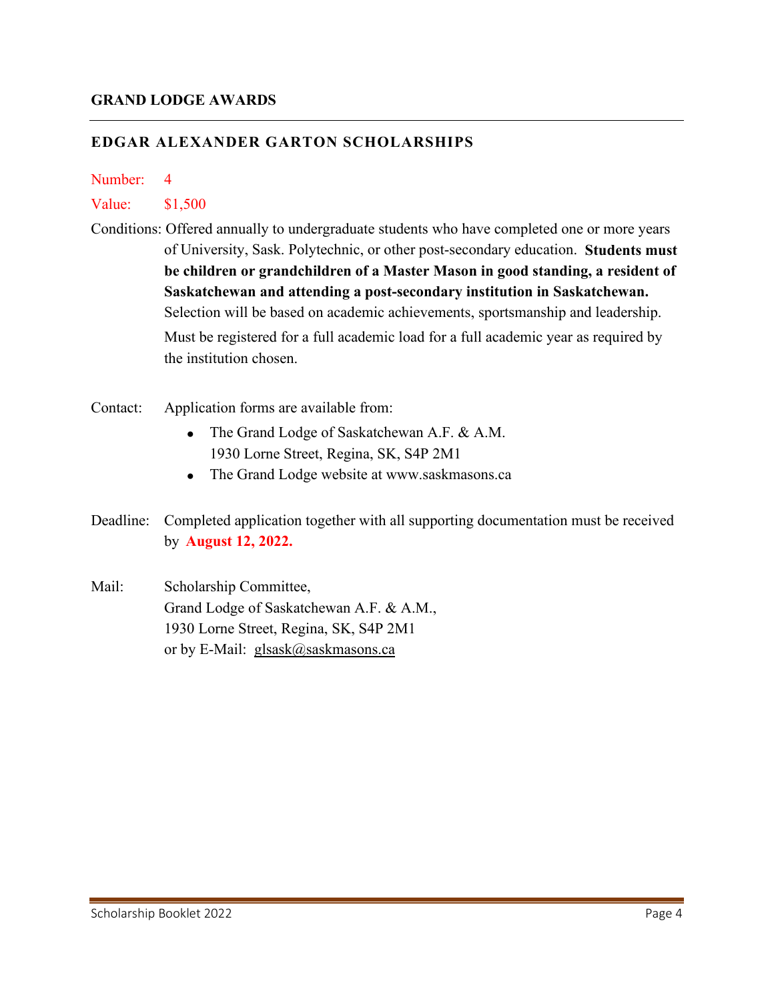#### **EDGAR ALEXANDER GARTON SCHOLARSHIPS**

#### Number: 4

#### Value: \$1,500

- Conditions: Offered annually to undergraduate students who have completed one or more years of University, Sask. Polytechnic, or other post-secondary education. **Students must be children or grandchildren of a Master Mason in good standing, a resident of Saskatchewan and attending a post-secondary institution in Saskatchewan.** Selection will be based on academic achievements, sportsmanship and leadership. Must be registered for a full academic load for a full academic year as required by the institution chosen.
- Contact: Application forms are available from:
	- The Grand Lodge of Saskatchewan A.F. & A.M. 1930 Lorne Street, Regina, SK, S4P 2M1
	- The Grand Lodge website at www.saskmasons.ca
- Deadline: Completed application together with all supporting documentation must be received by **August 12, 2022.**
- Mail: Scholarship Committee, Grand Lodge of Saskatchewan A.F. & A.M., 1930 Lorne Street, Regina, SK, S4P 2M1 or by E-Mail: glsask@saskmasons.ca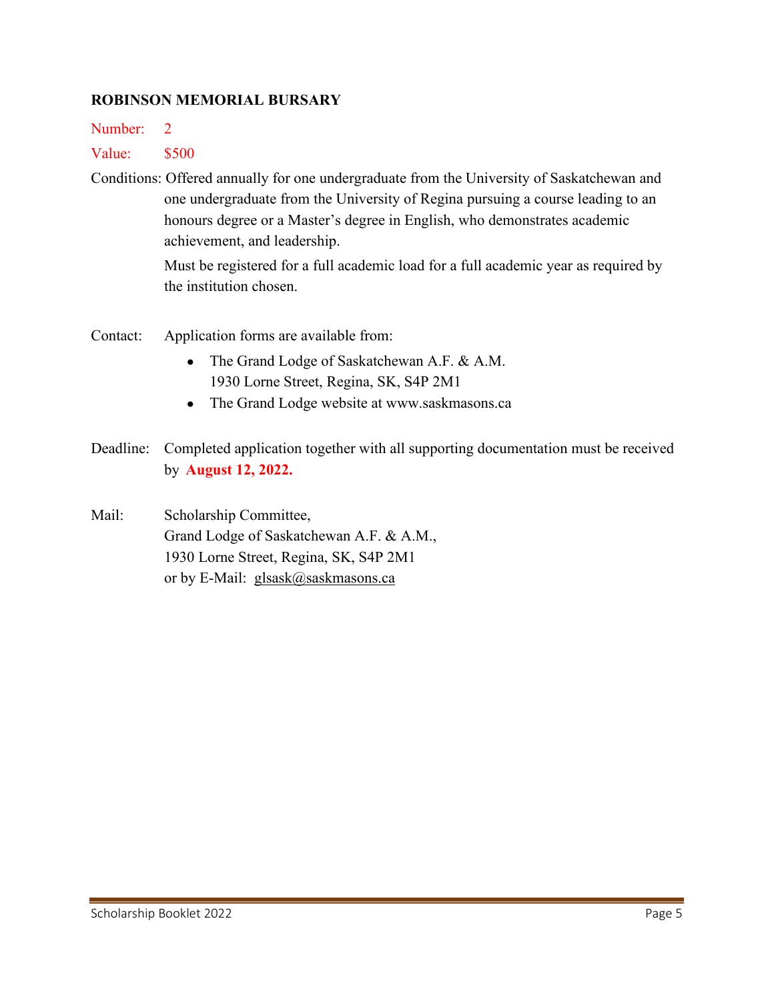#### **ROBINSON MEMORIAL BURSARY**

Number: 2

## Value: \$500

Conditions: Offered annually for one undergraduate from the University of Saskatchewan and one undergraduate from the University of Regina pursuing a course leading to an honours degree or a Master's degree in English, who demonstrates academic achievement, and leadership.

> Must be registered for a full academic load for a full academic year as required by the institution chosen.

- Contact: Application forms are available from:
	- The Grand Lodge of Saskatchewan A.F. & A.M. 1930 Lorne Street, Regina, SK, S4P 2M1
	- The Grand Lodge website at www.saskmasons.ca
- Deadline: Completed application together with all supporting documentation must be received by **August 12, 2022.**

Mail: Scholarship Committee, Grand Lodge of Saskatchewan A.F. & A.M., 1930 Lorne Street, Regina, SK, S4P 2M1 or by E-Mail: glsask@saskmasons.ca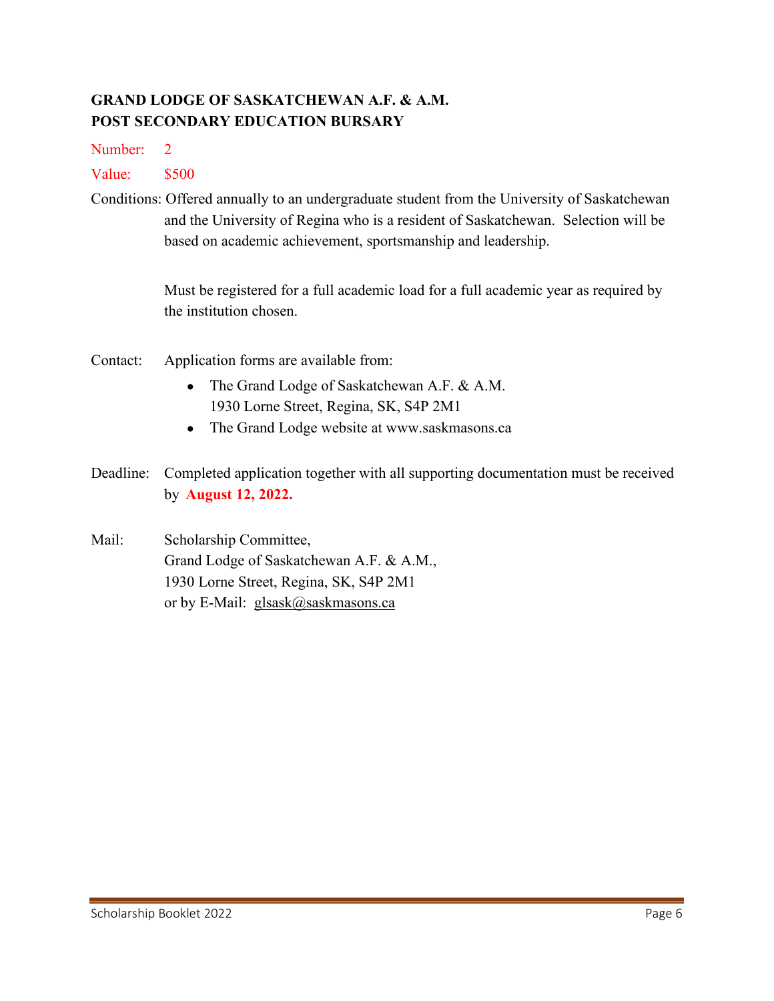# **GRAND LODGE OF SASKATCHEWAN A.F. & A.M. POST SECONDARY EDUCATION BURSARY**

Number: 2

Value: \$500

Conditions: Offered annually to an undergraduate student from the University of Saskatchewan and the University of Regina who is a resident of Saskatchewan. Selection will be based on academic achievement, sportsmanship and leadership.

> Must be registered for a full academic load for a full academic year as required by the institution chosen.

- Contact: Application forms are available from:
	- The Grand Lodge of Saskatchewan A.F. & A.M. 1930 Lorne Street, Regina, SK, S4P 2M1
	- The Grand Lodge website at www.saskmasons.ca
- Deadline: Completed application together with all supporting documentation must be received by **August 12, 2022.**

Mail: Scholarship Committee, Grand Lodge of Saskatchewan A.F. & A.M., 1930 Lorne Street, Regina, SK, S4P 2M1 or by E-Mail: glsask@saskmasons.ca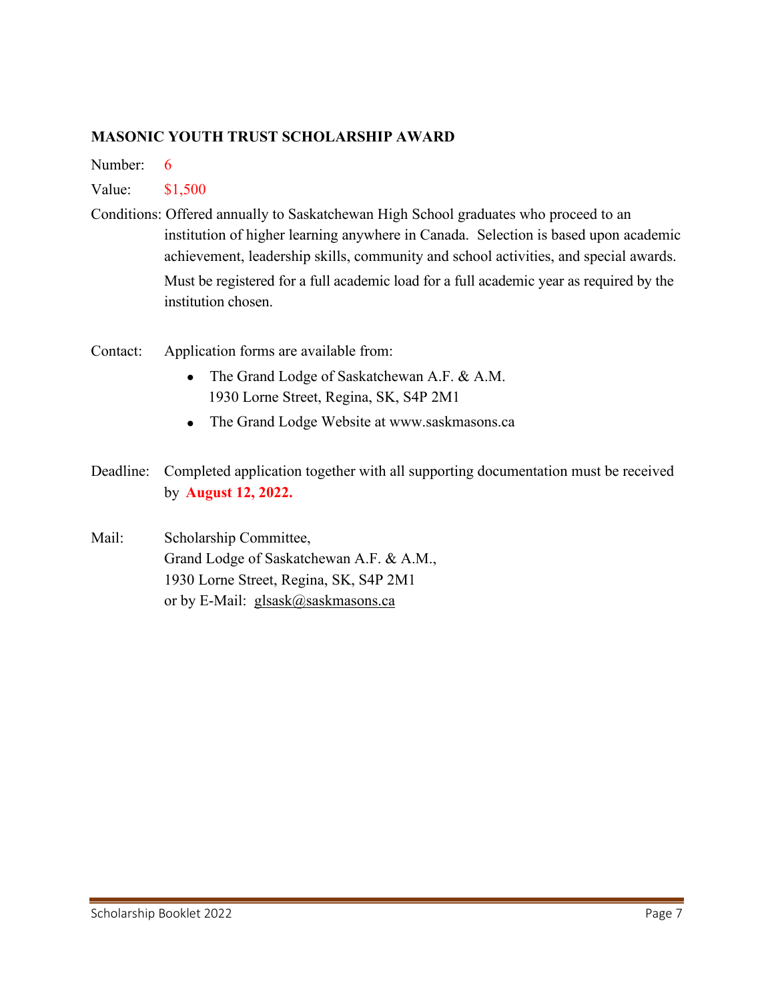#### **MASONIC YOUTH TRUST SCHOLARSHIP AWARD**

Number: 6

#### Value: \$1,500

- Conditions: Offered annually to Saskatchewan High School graduates who proceed to an institution of higher learning anywhere in Canada. Selection is based upon academic achievement, leadership skills, community and school activities, and special awards. Must be registered for a full academic load for a full academic year as required by the institution chosen.
- Contact: Application forms are available from:
	- The Grand Lodge of Saskatchewan A.F. & A.M. 1930 Lorne Street, Regina, SK, S4P 2M1
	- The Grand Lodge Website at www.saskmasons.ca
- Deadline: Completed application together with all supporting documentation must be received by **August 12, 2022.**
- Mail: Scholarship Committee, Grand Lodge of Saskatchewan A.F. & A.M., 1930 Lorne Street, Regina, SK, S4P 2M1 or by E-Mail: glsask@saskmasons.ca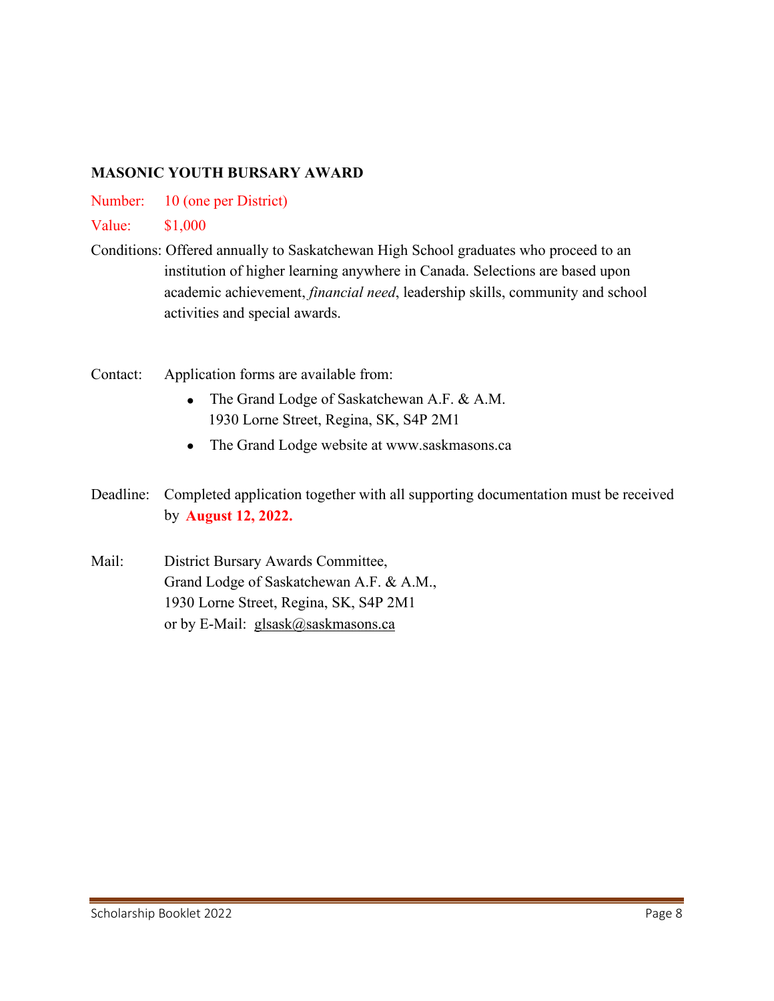# **MASONIC YOUTH BURSARY AWARD**

Number: 10 (one per District)

Value: \$1,000

- Conditions: Offered annually to Saskatchewan High School graduates who proceed to an institution of higher learning anywhere in Canada. Selections are based upon academic achievement, *financial need*, leadership skills, community and school activities and special awards.
- Contact: Application forms are available from:
	- The Grand Lodge of Saskatchewan A.F. & A.M. 1930 Lorne Street, Regina, SK, S4P 2M1
	- The Grand Lodge website at www.saskmasons.ca
- Deadline: Completed application together with all supporting documentation must be received by **August 12, 2022.**
- Mail: District Bursary Awards Committee, Grand Lodge of Saskatchewan A.F. & A.M., 1930 Lorne Street, Regina, SK, S4P 2M1 or by E-Mail: glsask@saskmasons.ca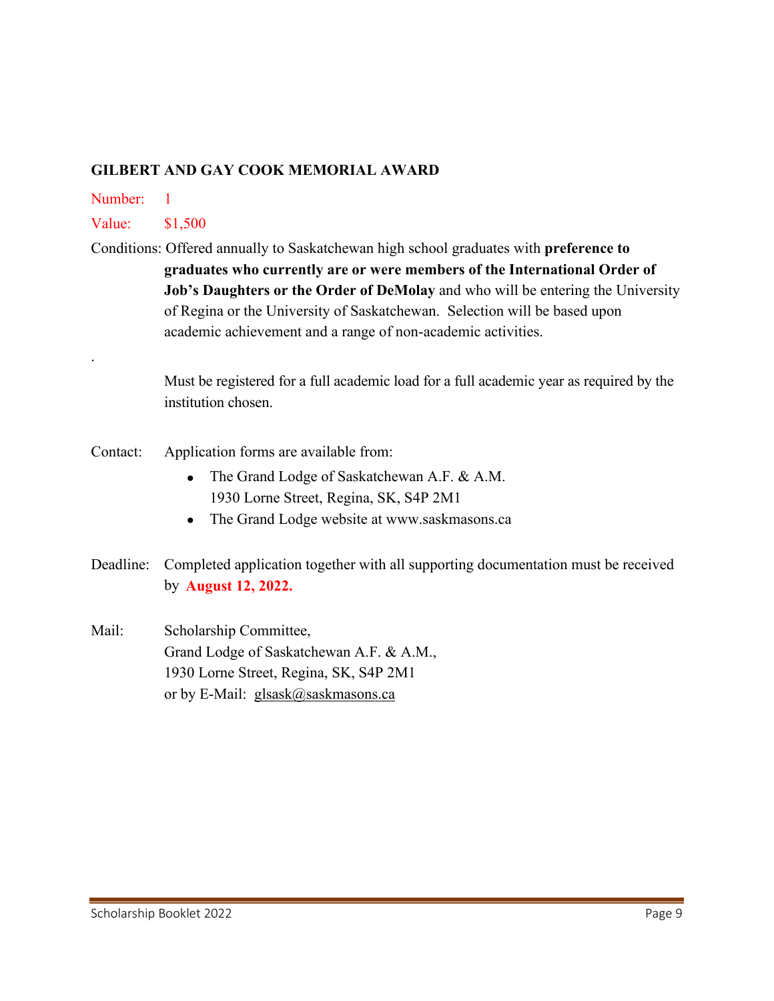#### **GILBERT AND GAY COOK MEMORIAL AWARD**

Number: 1

.

Value: \$1,500

Conditions: Offered annually to Saskatchewan high school graduates with **preference to graduates who currently are or were members of the International Order of Job's Daughters or the Order of DeMolay** and who will be entering the University of Regina or the University of Saskatchewan. Selection will be based upon academic achievement and a range of non-academic activities.

> Must be registered for a full academic load for a full academic year as required by the institution chosen.

- Contact: Application forms are available from:
	- The Grand Lodge of Saskatchewan A.F. & A.M. 1930 Lorne Street, Regina, SK, S4P 2M1
	- The Grand Lodge website at www.saskmasons.ca
- Deadline: Completed application together with all supporting documentation must be received by **August 12, 2022.**
- Mail: Scholarship Committee, Grand Lodge of Saskatchewan A.F. & A.M., 1930 Lorne Street, Regina, SK, S4P 2M1 or by E-Mail: glsask@saskmasons.ca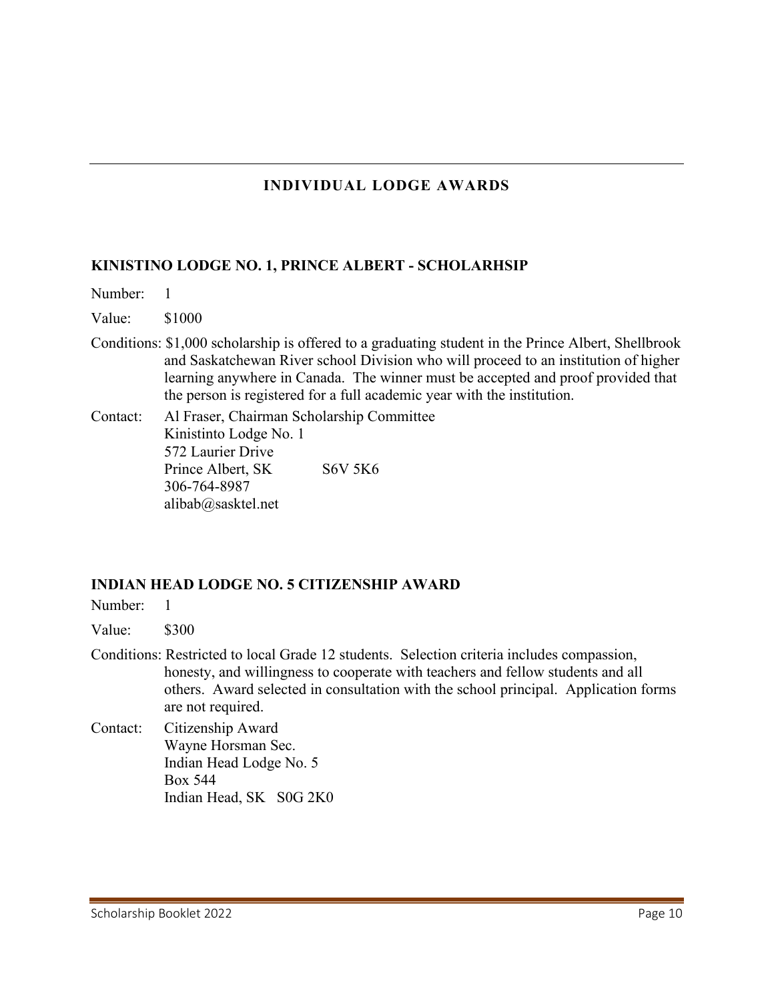# **INDIVIDUAL LODGE AWARDS**

#### **KINISTINO LODGE NO. 1, PRINCE ALBERT - SCHOLARHSIP**

- Number: 1
- Value: \$1000
- Conditions: \$1,000 scholarship is offered to a graduating student in the Prince Albert, Shellbrook and Saskatchewan River school Division who will proceed to an institution of higher learning anywhere in Canada. The winner must be accepted and proof provided that the person is registered for a full academic year with the institution.
- Contact: Al Fraser, Chairman Scholarship Committee Kinistinto Lodge No. 1 572 Laurier Drive Prince Albert, SK S6V 5K6 306-764-8987 alibab@sasktel.net

#### **INDIAN HEAD LODGE NO. 5 CITIZENSHIP AWARD**

Number: 1

Value: \$300

- Conditions: Restricted to local Grade 12 students. Selection criteria includes compassion, honesty, and willingness to cooperate with teachers and fellow students and all others. Award selected in consultation with the school principal. Application forms are not required.
- Contact: Citizenship Award Wayne Horsman Sec. Indian Head Lodge No. 5 Box 544 Indian Head, SK S0G 2K0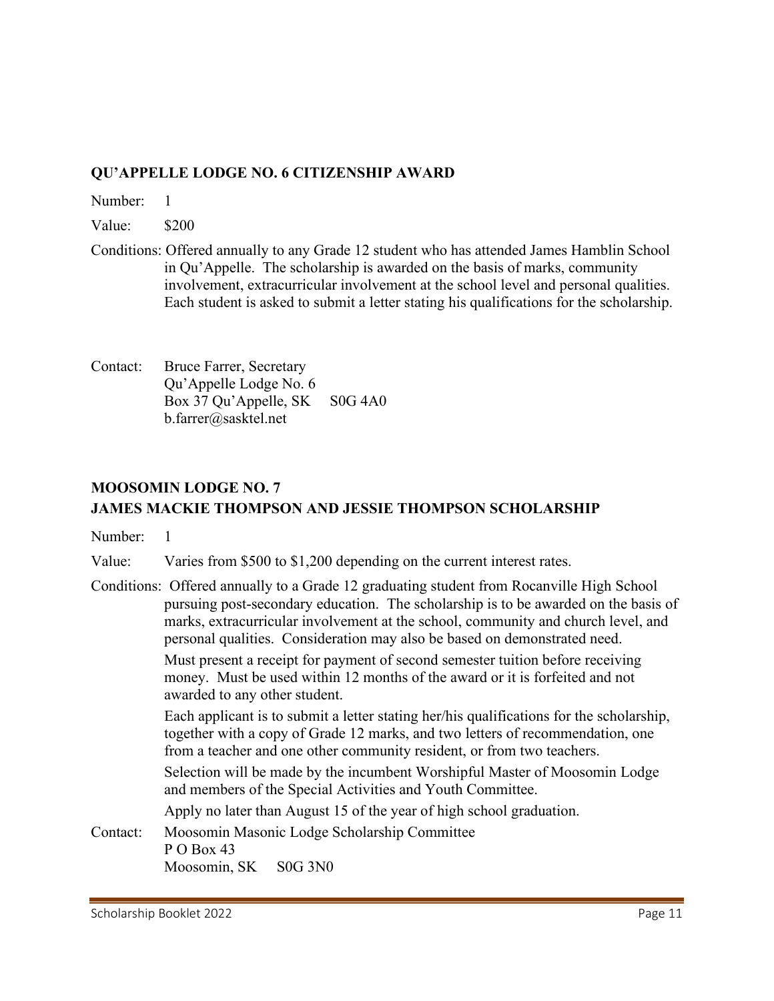# **QU'APPELLE LODGE NO. 6 CITIZENSHIP AWARD**

Number: 1

Value: \$200

- Conditions: Offered annually to any Grade 12 student who has attended James Hamblin School in Qu'Appelle. The scholarship is awarded on the basis of marks, community involvement, extracurricular involvement at the school level and personal qualities. Each student is asked to submit a letter stating his qualifications for the scholarship.
- Contact: Bruce Farrer, Secretary Qu'Appelle Lodge No. 6 Box 37 Qu'Appelle, SK S0G 4A0 b.farrer@sasktel.net

# **MOOSOMIN LODGE NO. 7 JAMES MACKIE THOMPSON AND JESSIE THOMPSON SCHOLARSHIP**

Number: 1

Value: Varies from \$500 to \$1,200 depending on the current interest rates.

Conditions: Offered annually to a Grade 12 graduating student from Rocanville High School pursuing post-secondary education. The scholarship is to be awarded on the basis of marks, extracurricular involvement at the school, community and church level, and personal qualities. Consideration may also be based on demonstrated need. Must present a receipt for payment of second semester tuition before receiving money. Must be used within 12 months of the award or it is forfeited and not awarded to any other student. Each applicant is to submit a letter stating her/his qualifications for the scholarship, together with a copy of Grade 12 marks, and two letters of recommendation, one from a teacher and one other community resident, or from two teachers. Selection will be made by the incumbent Worshipful Master of Moosomin Lodge and members of the Special Activities and Youth Committee. Apply no later than August 15 of the year of high school graduation. Contact: Moosomin Masonic Lodge Scholarship Committee P O Box 43 Moosomin, SK S0G 3N0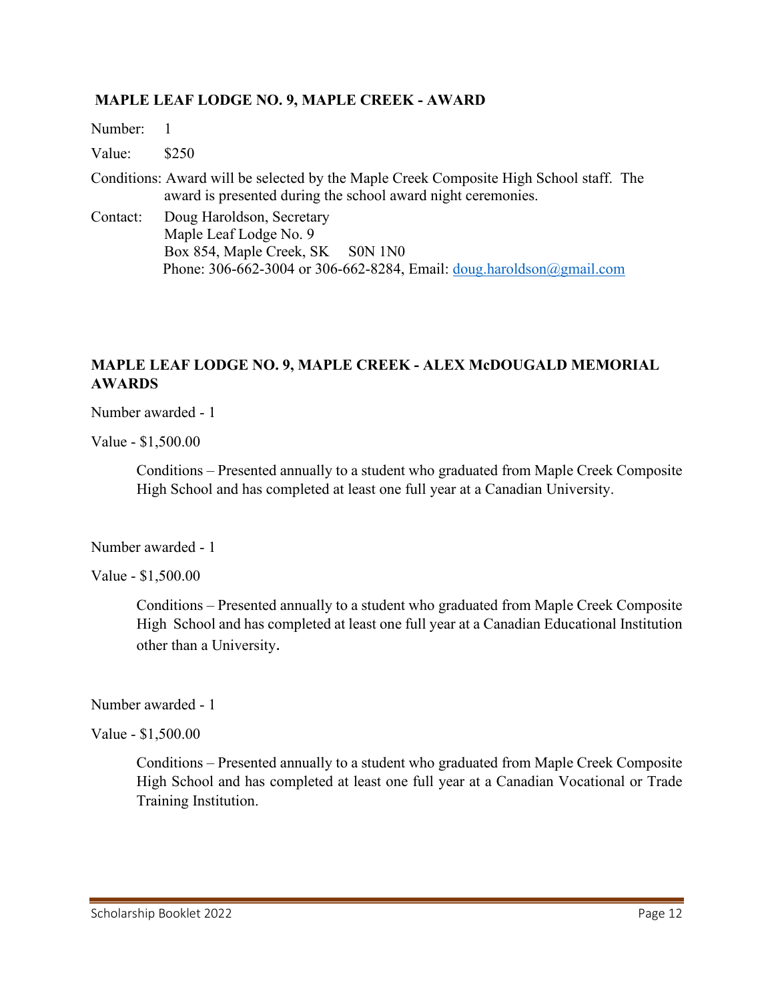#### **MAPLE LEAF LODGE NO. 9, MAPLE CREEK - AWARD**

Number: 1 Value: \$250 Conditions: Award will be selected by the Maple Creek Composite High School staff. The award is presented during the school award night ceremonies. Contact: Doug Haroldson, Secretary Maple Leaf Lodge No. 9 Box 854, Maple Creek, SK S0N 1N0 Phone: 306-662-3004 or 306-662-8284, Email: [doug.haroldson@gmail.com](mailto:doug.haroldson@gmail.com)

# **MAPLE LEAF LODGE NO. 9, MAPLE CREEK - ALEX McDOUGALD MEMORIAL AWARDS**

Number awarded - 1

Value - \$1,500.00

Conditions – Presented annually to a student who graduated from Maple Creek Composite High School and has completed at least one full year at a Canadian University.

Number awarded - 1

Value - \$1,500.00

Conditions – Presented annually to a student who graduated from Maple Creek Composite High School and has completed at least one full year at a Canadian Educational Institution other than a University.

Number awarded - 1

Value - \$1,500.00

 Conditions – Presented annually to a student who graduated from Maple Creek Composite High School and has completed at least one full year at a Canadian Vocational or Trade Training Institution.

Scholarship Booklet 2022 **Page 12**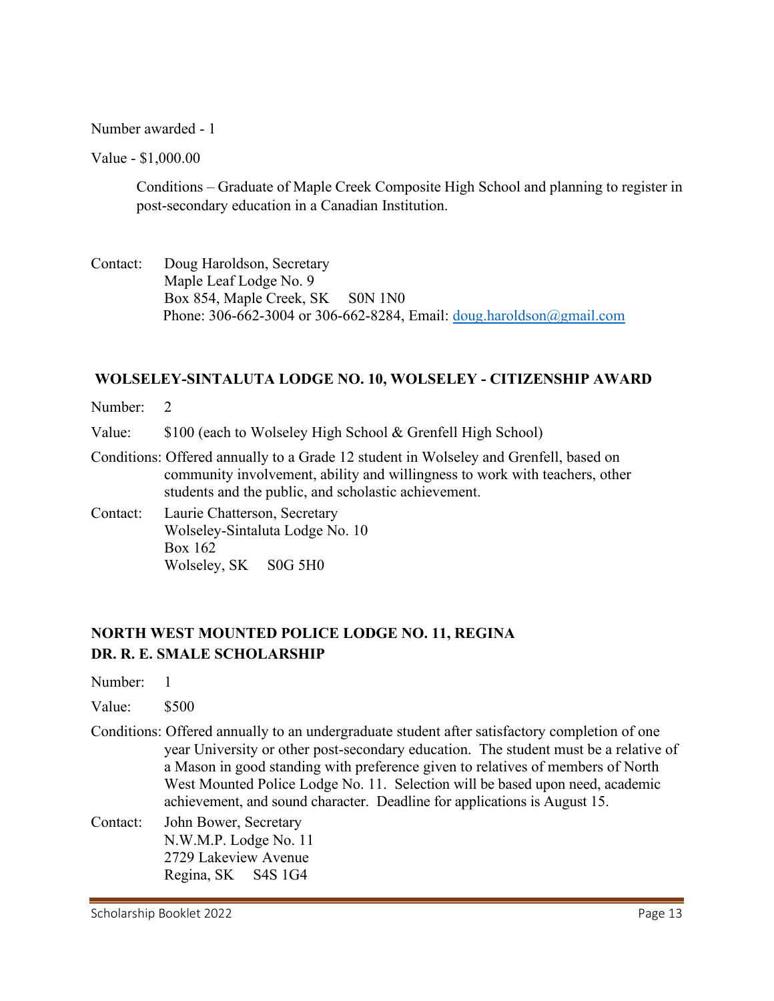#### Number awarded - 1

Value - \$1,000.00

Conditions – Graduate of Maple Creek Composite High School and planning to register in post-secondary education in a Canadian Institution.

Contact: Doug Haroldson, Secretary Maple Leaf Lodge No. 9 Box 854, Maple Creek, SK S0N 1N0 Phone: 306-662-3004 or 306-662-8284, Email: [doug.haroldson@gmail.com](mailto:doug.haroldson@gmail.com) 

#### **WOLSELEY-SINTALUTA LODGE NO. 10, WOLSELEY - CITIZENSHIP AWARD**

Number: 2

Value: \$100 (each to Wolseley High School & Grenfell High School)

- Conditions: Offered annually to a Grade 12 student in Wolseley and Grenfell, based on community involvement, ability and willingness to work with teachers, other students and the public, and scholastic achievement.
- Contact: Laurie Chatterson, Secretary Wolseley-Sintaluta Lodge No. 10 Box 162 Wolseley, SK S0G 5H0

# **NORTH WEST MOUNTED POLICE LODGE NO. 11, REGINA DR. R. E. SMALE SCHOLARSHIP**

Number: 1

- Value: \$500
- Conditions: Offered annually to an undergraduate student after satisfactory completion of one year University or other post-secondary education. The student must be a relative of a Mason in good standing with preference given to relatives of members of North West Mounted Police Lodge No. 11. Selection will be based upon need, academic achievement, and sound character. Deadline for applications is August 15.
- Contact: John Bower, Secretary N.W.M.P. Lodge No. 11 2729 Lakeview Avenue Regina, SK S4S 1G4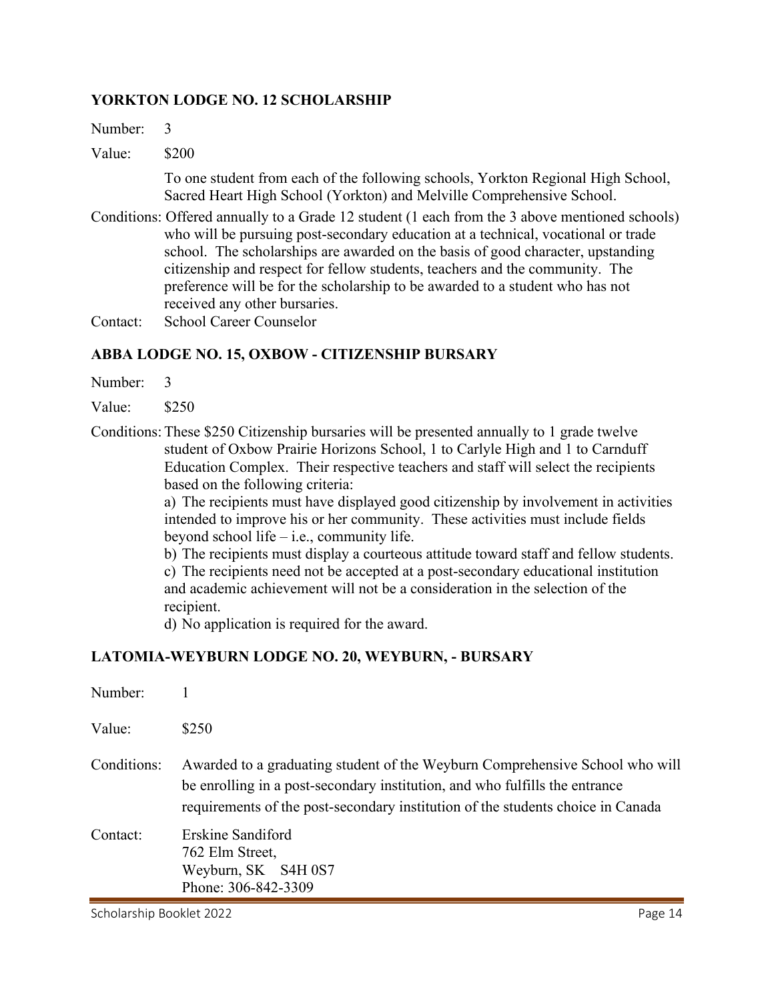#### **YORKTON LODGE NO. 12 SCHOLARSHIP**

Number: 3

Value: \$200

To one student from each of the following schools, Yorkton Regional High School, Sacred Heart High School (Yorkton) and Melville Comprehensive School.

- Conditions: Offered annually to a Grade 12 student (1 each from the 3 above mentioned schools) who will be pursuing post-secondary education at a technical, vocational or trade school. The scholarships are awarded on the basis of good character, upstanding citizenship and respect for fellow students, teachers and the community. The preference will be for the scholarship to be awarded to a student who has not received any other bursaries.
- Contact: School Career Counselor

#### **ABBA LODGE NO. 15, OXBOW - CITIZENSHIP BURSARY**

Number: 3

Value: \$250

Conditions:These \$250 Citizenship bursaries will be presented annually to 1 grade twelve student of Oxbow Prairie Horizons School, 1 to Carlyle High and 1 to Carnduff Education Complex. Their respective teachers and staff will select the recipients based on the following criteria:

> a) The recipients must have displayed good citizenship by involvement in activities intended to improve his or her community. These activities must include fields beyond school life – i.e., community life.

> b) The recipients must display a courteous attitude toward staff and fellow students.

c) The recipients need not be accepted at a post-secondary educational institution and academic achievement will not be a consideration in the selection of the recipient.

d) No application is required for the award.

#### **LATOMIA-WEYBURN LODGE NO. 20, WEYBURN, - BURSARY**

| Number:     |                                                                                                                                                                                                                                                |
|-------------|------------------------------------------------------------------------------------------------------------------------------------------------------------------------------------------------------------------------------------------------|
| Value:      | \$250                                                                                                                                                                                                                                          |
| Conditions: | Awarded to a graduating student of the Weyburn Comprehensive School who will<br>be enrolling in a post-secondary institution, and who fulfills the entrance<br>requirements of the post-secondary institution of the students choice in Canada |
| Contact:    | Erskine Sandiford<br>762 Elm Street,<br>Weyburn, SK S4H 0S7<br>Phone: 306-842-3309                                                                                                                                                             |

Scholarship Booklet 2022 **Page 14**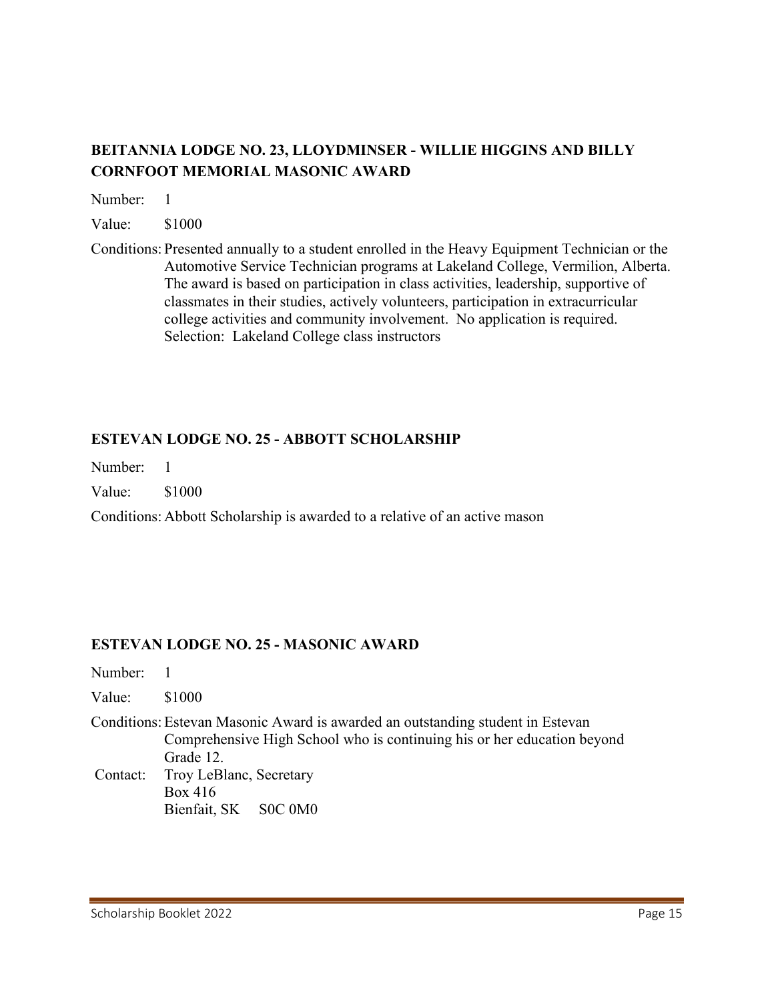# **BEITANNIA LODGE NO. 23, LLOYDMINSER - WILLIE HIGGINS AND BILLY CORNFOOT MEMORIAL MASONIC AWARD**

Number: 1

Value: \$1000

Conditions: Presented annually to a student enrolled in the Heavy Equipment Technician or the Automotive Service Technician programs at Lakeland College, Vermilion, Alberta. The award is based on participation in class activities, leadership, supportive of classmates in their studies, actively volunteers, participation in extracurricular college activities and community involvement. No application is required. Selection: Lakeland College class instructors

## **ESTEVAN LODGE NO. 25 - ABBOTT SCHOLARSHIP**

Number: 1

Value: \$1000

Conditions: Abbott Scholarship is awarded to a relative of an active mason

#### **ESTEVAN LODGE NO. 25 - MASONIC AWARD**

| Number: 1 |                                                                                                                                                                        |
|-----------|------------------------------------------------------------------------------------------------------------------------------------------------------------------------|
| Value:    | \$1000                                                                                                                                                                 |
|           | Conditions: Estevan Masonic Award is awarded an outstanding student in Estevan<br>Comprehensive High School who is continuing his or her education beyond<br>Grade 12. |
| Contact:  | Troy LeBlanc, Secretary<br>Box 416<br>Bienfait, SK S0C 0M0                                                                                                             |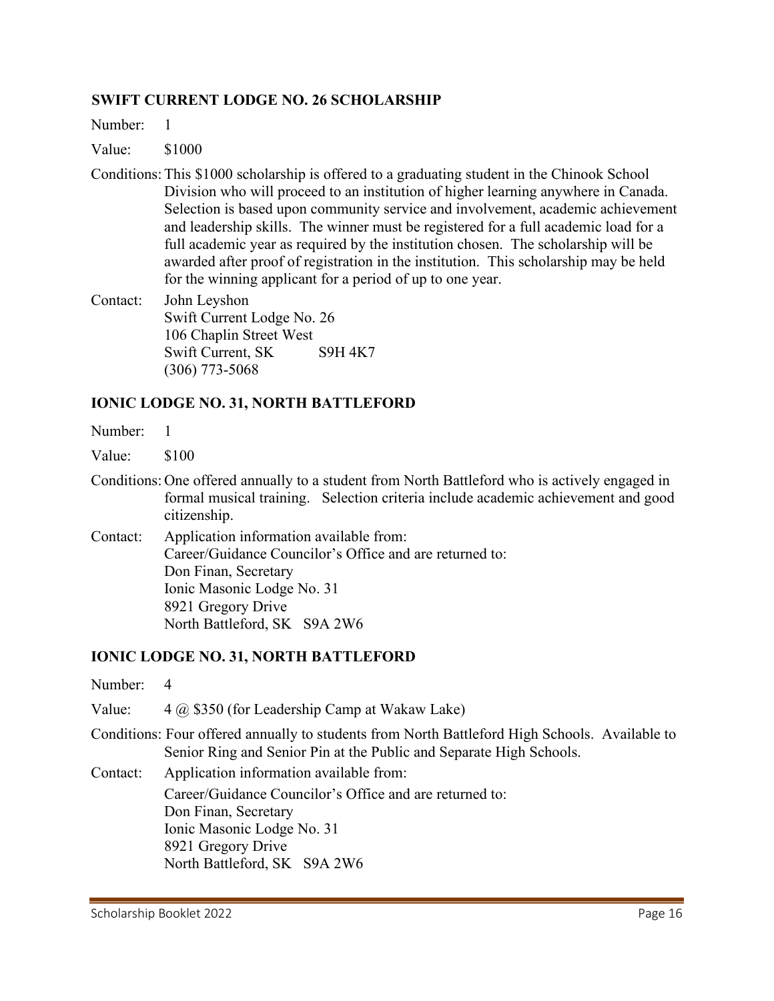#### **SWIFT CURRENT LODGE NO. 26 SCHOLARSHIP**

Number: 1

- Value: \$1000
- Conditions:This \$1000 scholarship is offered to a graduating student in the Chinook School Division who will proceed to an institution of higher learning anywhere in Canada. Selection is based upon community service and involvement, academic achievement and leadership skills. The winner must be registered for a full academic load for a full academic year as required by the institution chosen. The scholarship will be awarded after proof of registration in the institution. This scholarship may be held for the winning applicant for a period of up to one year.
- Contact: John Leyshon Swift Current Lodge No. 26 106 Chaplin Street West Swift Current, SK S9H 4K7 (306) 773-5068

#### **IONIC LODGE NO. 31, NORTH BATTLEFORD**

- Number: 1
- Value: \$100
- Conditions: One offered annually to a student from North Battleford who is actively engaged in formal musical training. Selection criteria include academic achievement and good citizenship.
- Contact: Application information available from: Career/Guidance Councilor's Office and are returned to: Don Finan, Secretary Ionic Masonic Lodge No. 31 8921 Gregory Drive North Battleford, SK S9A 2W6

#### **IONIC LODGE NO. 31, NORTH BATTLEFORD**

- Number: 4
- Value:  $4 \text{ (a) } $350 \text{ (for Leadership Camp at Wakaw Lake)}$
- Conditions: Four offered annually to students from North Battleford High Schools. Available to Senior Ring and Senior Pin at the Public and Separate High Schools.

Contact: Application information available from:

Career/Guidance Councilor's Office and are returned to: Don Finan, Secretary Ionic Masonic Lodge No. 31 8921 Gregory Drive North Battleford, SK S9A 2W6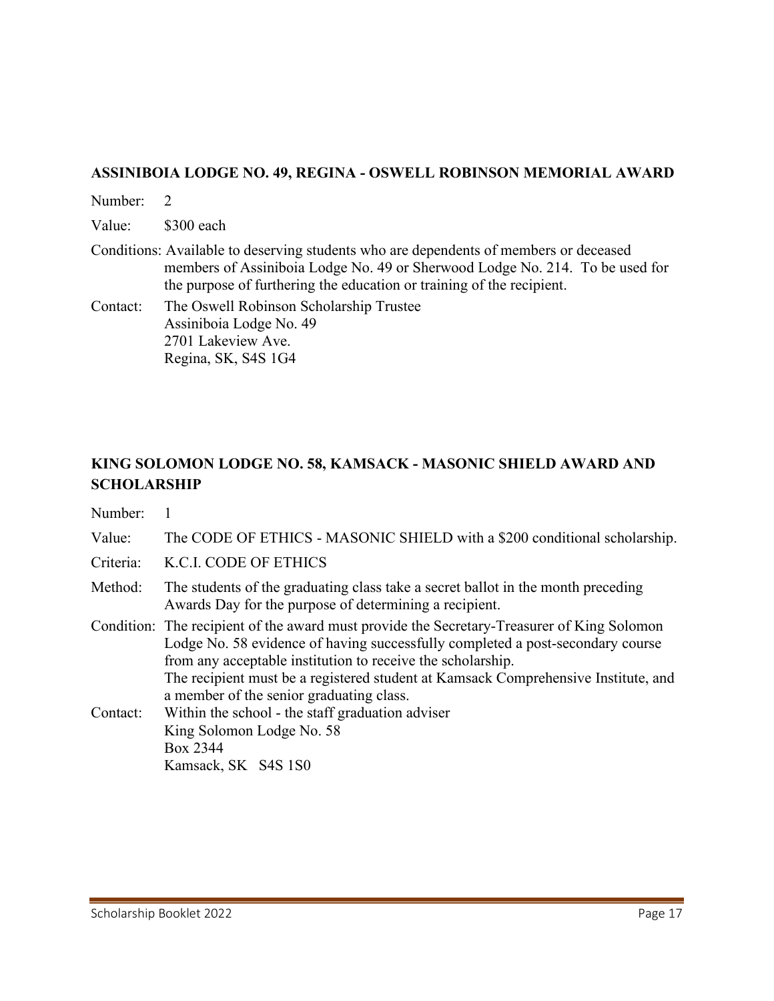#### **ASSINIBOIA LODGE NO. 49, REGINA - OSWELL ROBINSON MEMORIAL AWARD**

Number: 2 Value: \$300 each Conditions: Available to deserving students who are dependents of members or deceased members of Assiniboia Lodge No. 49 or Sherwood Lodge No. 214. To be used for the purpose of furthering the education or training of the recipient. Contact: The Oswell Robinson Scholarship Trustee Assiniboia Lodge No. 49 2701 Lakeview Ave.

Regina, SK, S4S 1G4

**KING SOLOMON LODGE NO. 58, KAMSACK - MASONIC SHIELD AWARD AND SCHOLARSHIP**

Number: 1

Value: The CODE OF ETHICS - MASONIC SHIELD with a \$200 conditional scholarship.

Criteria: K.C.I. CODE OF ETHICS

Method: The students of the graduating class take a secret ballot in the month preceding Awards Day for the purpose of determining a recipient.

Condition: The recipient of the award must provide the Secretary-Treasurer of King Solomon Lodge No. 58 evidence of having successfully completed a post-secondary course from any acceptable institution to receive the scholarship. The recipient must be a registered student at Kamsack Comprehensive Institute, and a member of the senior graduating class. Contact: Within the school - the staff graduation adviser

King Solomon Lodge No. 58 Box 2344 Kamsack, SK S4S 1S0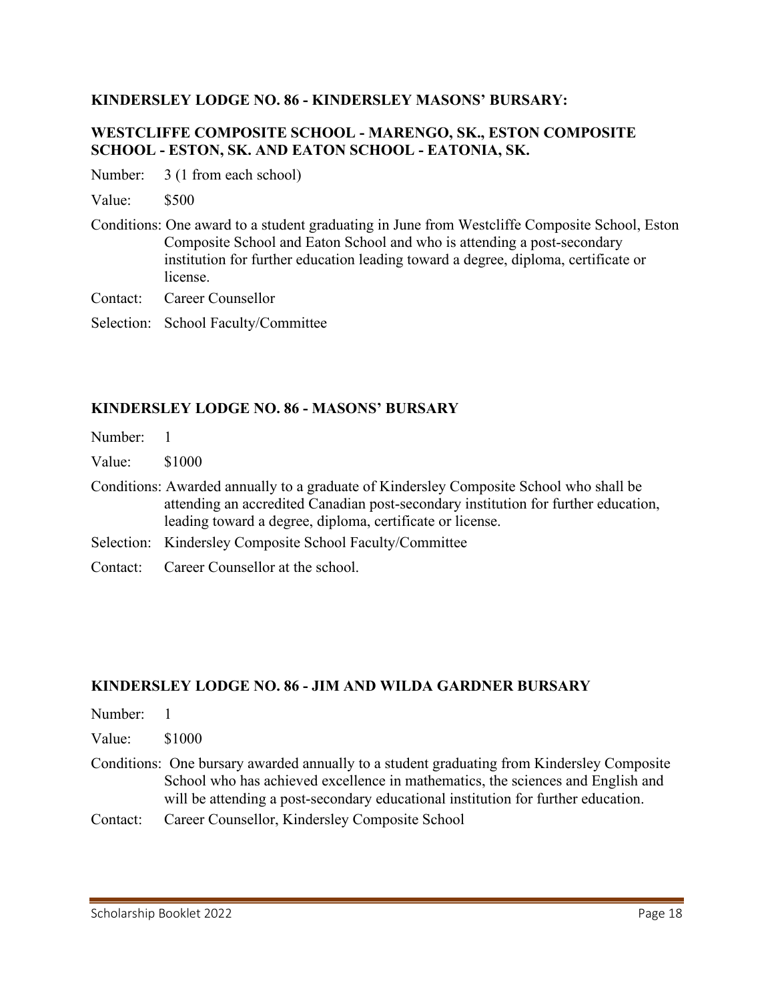#### **KINDERSLEY LODGE NO. 86 - KINDERSLEY MASONS' BURSARY:**

#### **WESTCLIFFE COMPOSITE SCHOOL - MARENGO, SK., ESTON COMPOSITE SCHOOL - ESTON, SK. AND EATON SCHOOL - EATONIA, SK.**

Number: 3 (1 from each school)

Value: \$500

Conditions: One award to a student graduating in June from Westcliffe Composite School, Eston Composite School and Eaton School and who is attending a post-secondary institution for further education leading toward a degree, diploma, certificate or license.

Contact: Career Counsellor

Selection: School Faculty/Committee

#### **KINDERSLEY LODGE NO. 86 - MASONS' BURSARY**

| Number: 1 |                                                                                                                                                                                                                                           |
|-----------|-------------------------------------------------------------------------------------------------------------------------------------------------------------------------------------------------------------------------------------------|
| Value:    | \$1000                                                                                                                                                                                                                                    |
|           | Conditions: Awarded annually to a graduate of Kindersley Composite School who shall be<br>attending an accredited Canadian post-secondary institution for further education,<br>leading toward a degree, diploma, certificate or license. |
|           | Selection: Kindersley Composite School Faculty/Committee                                                                                                                                                                                  |
|           | Contact: Career Counsellor at the school.                                                                                                                                                                                                 |

#### **KINDERSLEY LODGE NO. 86 - JIM AND WILDA GARDNER BURSARY**

- Number: 1
- Value: \$1000
- Conditions: One bursary awarded annually to a student graduating from Kindersley Composite School who has achieved excellence in mathematics, the sciences and English and will be attending a post-secondary educational institution for further education.
- Contact: Career Counsellor, Kindersley Composite School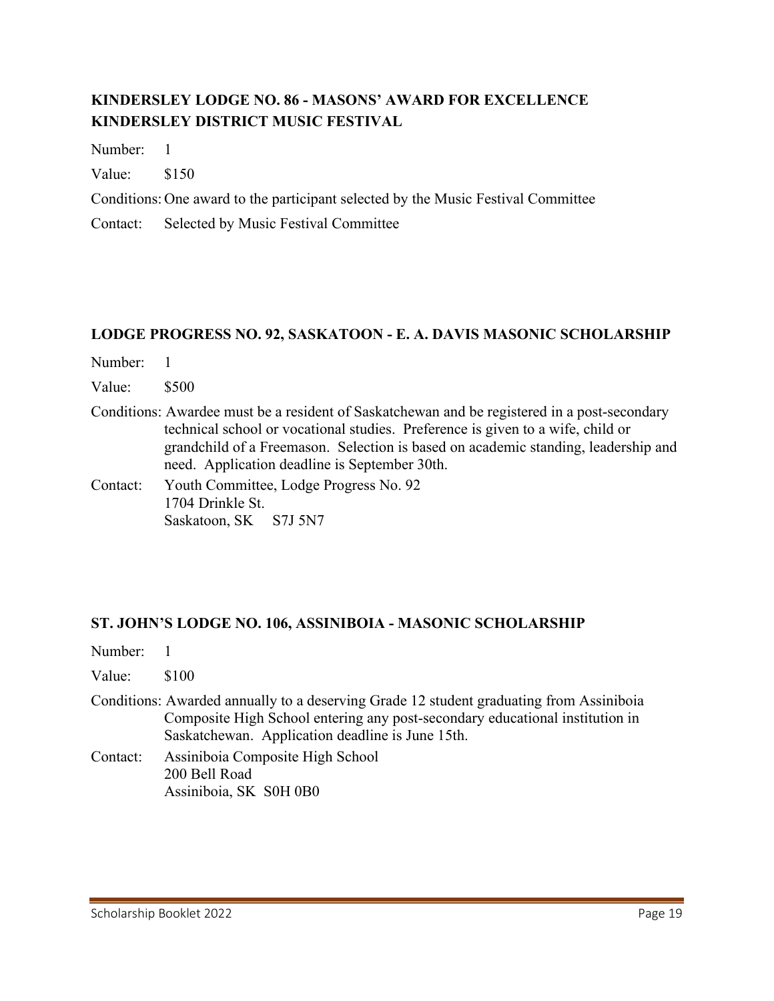# **KINDERSLEY LODGE NO. 86 - MASONS' AWARD FOR EXCELLENCE KINDERSLEY DISTRICT MUSIC FESTIVAL**

Number: 1

Value: \$150

Conditions: One award to the participant selected by the Music Festival Committee

Contact: Selected by Music Festival Committee

#### **LODGE PROGRESS NO. 92, SASKATOON - E. A. DAVIS MASONIC SCHOLARSHIP**

| Number: |  |
|---------|--|
|---------|--|

Value: \$500

Conditions: Awardee must be a resident of Saskatchewan and be registered in a post-secondary technical school or vocational studies. Preference is given to a wife, child or grandchild of a Freemason. Selection is based on academic standing, leadership and need. Application deadline is September 30th.

Contact: Youth Committee, Lodge Progress No. 92 1704 Drinkle St. Saskatoon, SK S7J 5N7

#### **ST. JOHN'S LODGE NO. 106, ASSINIBOIA - MASONIC SCHOLARSHIP**

Number: 1

Value: \$100

- Conditions: Awarded annually to a deserving Grade 12 student graduating from Assiniboia Composite High School entering any post-secondary educational institution in Saskatchewan. Application deadline is June 15th.
- Contact: Assiniboia Composite High School 200 Bell Road Assiniboia, SK S0H 0B0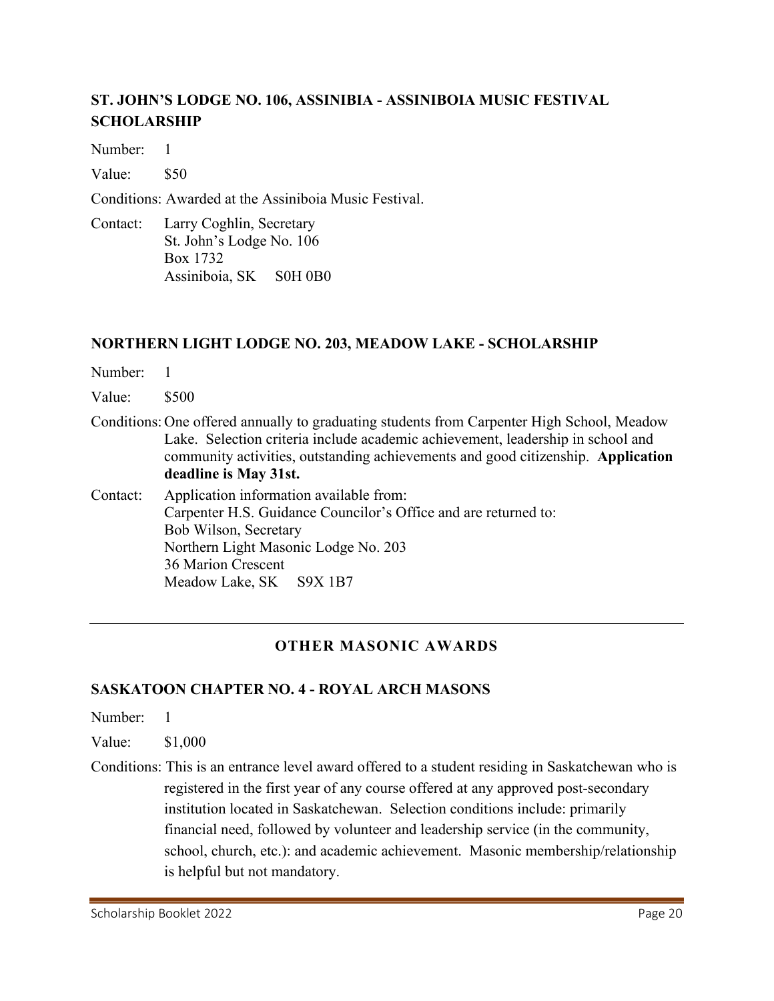# **ST. JOHN'S LODGE NO. 106, ASSINIBIA - ASSINIBOIA MUSIC FESTIVAL SCHOLARSHIP**

Number: 1

Value: \$50

Conditions: Awarded at the Assiniboia Music Festival.

Contact: Larry Coghlin, Secretary St. John's Lodge No. 106 Box 1732 Assiniboia, SK S0H 0B0

## **NORTHERN LIGHT LODGE NO. 203, MEADOW LAKE - SCHOLARSHIP**

Number: 1

Value: \$500

Conditions: One offered annually to graduating students from Carpenter High School, Meadow Lake. Selection criteria include academic achievement, leadership in school and community activities, outstanding achievements and good citizenship. **Application deadline is May 31st.** 

Contact: Application information available from: Carpenter H.S. Guidance Councilor's Office and are returned to: Bob Wilson, Secretary Northern Light Masonic Lodge No. 203 36 Marion Crescent Meadow Lake, SK S9X 1B7

# **OTHER MASONIC AWARDS**

#### **SASKATOON CHAPTER NO. 4 - ROYAL ARCH MASONS**

Number: 1

Value: \$1,000

Conditions: This is an entrance level award offered to a student residing in Saskatchewan who is registered in the first year of any course offered at any approved post-secondary institution located in Saskatchewan. Selection conditions include: primarily financial need, followed by volunteer and leadership service (in the community, school, church, etc.): and academic achievement. Masonic membership/relationship is helpful but not mandatory.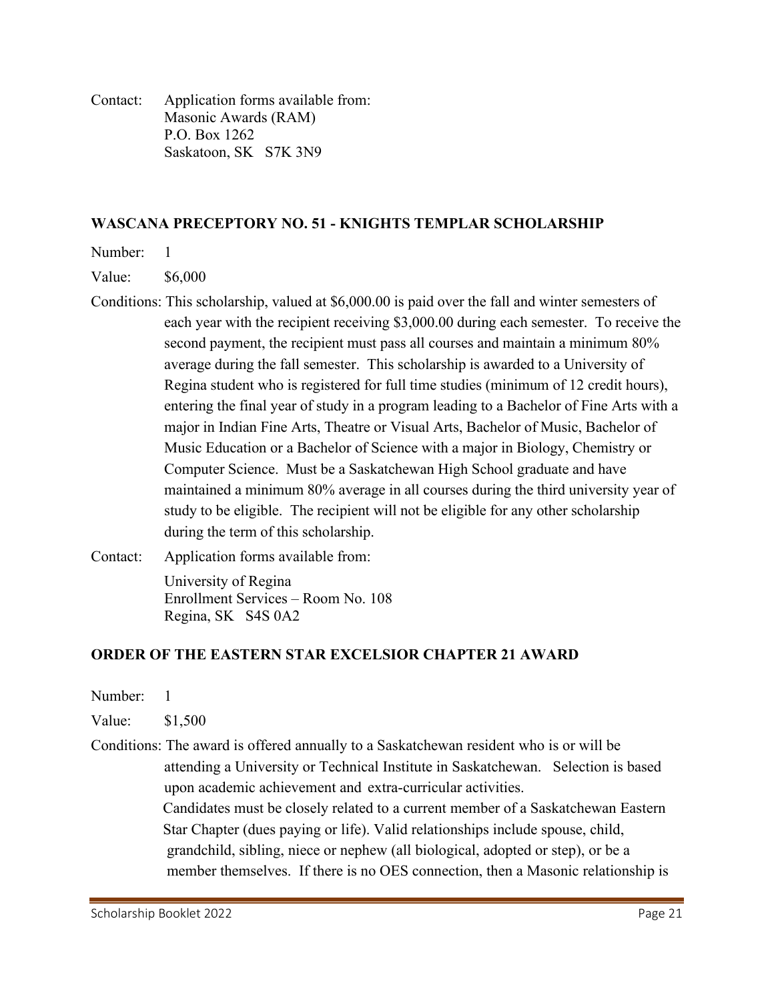Contact: Application forms available from: Masonic Awards (RAM) P.O. Box 1262 Saskatoon, SK S7K 3N9

#### **WASCANA PRECEPTORY NO. 51 - KNIGHTS TEMPLAR SCHOLARSHIP**

Number: 1

Value: \$6,000

- Conditions: This scholarship, valued at \$6,000.00 is paid over the fall and winter semesters of each year with the recipient receiving \$3,000.00 during each semester. To receive the second payment, the recipient must pass all courses and maintain a minimum 80% average during the fall semester. This scholarship is awarded to a University of Regina student who is registered for full time studies (minimum of 12 credit hours), entering the final year of study in a program leading to a Bachelor of Fine Arts with a major in Indian Fine Arts, Theatre or Visual Arts, Bachelor of Music, Bachelor of Music Education or a Bachelor of Science with a major in Biology, Chemistry or Computer Science. Must be a Saskatchewan High School graduate and have maintained a minimum 80% average in all courses during the third university year of study to be eligible. The recipient will not be eligible for any other scholarship during the term of this scholarship.
- Contact: Application forms available from:
	- University of Regina Enrollment Services – Room No. 108 Regina, SK S4S 0A2

#### **ORDER OF THE EASTERN STAR EXCELSIOR CHAPTER 21 AWARD**

- Number: 1
- Value: \$1,500
- Conditions: The award is offered annually to a Saskatchewan resident who is or will be attending a University or Technical Institute in Saskatchewan. Selection is based upon academic achievement and extra-curricular activities. Candidates must be closely related to a current member of a Saskatchewan Eastern Star Chapter (dues paying or life). Valid relationships include spouse, child, grandchild, sibling, niece or nephew (all biological, adopted or step), or be a member themselves. If there is no OES connection, then a Masonic relationship is